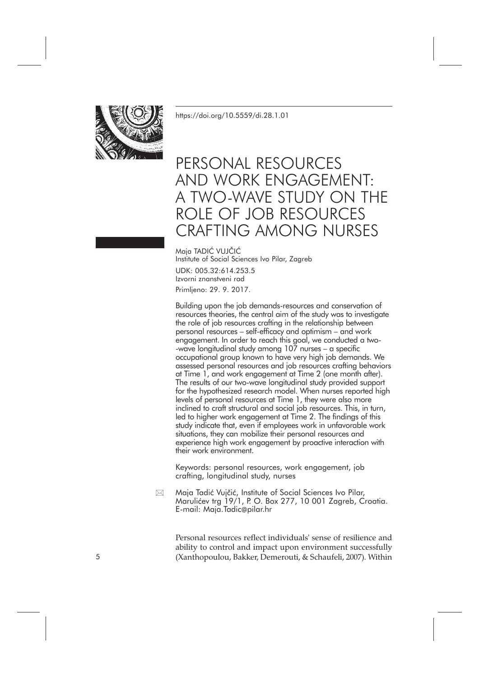

<https://doi.org/10.5559/di.28.1.01>

# PERSONAL RESOURCES AND WORK ENGAGEMENT: A TWO-WAVE STUDY ON THE ROLE OF JOB RESOURCES CRAFTING AMONG NURSES

Maja TADIĆ VUJČIĆ Institute of Social Sciences Ivo Pilar, Zagreb

UDK: 005.32:614.253.5 Izvorni znanstveni rad Primljeno: 29. 9. 2017.

Building upon the job demands-resources and conservation of resources theories, the central aim of the study was to investigate the role of job resources crafting in the relationship between personal resources – self-efficacy and optimism – and work engagement. In order to reach this goal, we conducted a two- -wave longitudinal study among 107 nurses – a specific occupational group known to have very high job demands. We assessed personal resources and job resources crafting behaviors at Time 1, and work engagement at Time 2 (one month after). The results of our two-wave longitudinal study provided support for the hypothesized research model. When nurses reported high levels of personal resources at Time 1, they were also more inclined to craft structural and social job resources. This, in turn, led to higher work engagement at Time 2. The findings of this study indicate that, even if employees work in unfavorable work situations, they can mobilize their personal resources and experience high work engagement by proactive interaction with their work environment.

Keywords: personal resources, work engagement, job crafting, longitudinal study, nurses

Maja Tadić Vujčić, Institute of Social Sciences Ivo Pilar, Marulićev trg 19/1, P. O. Box 277, 10 001 Zagreb, Croatia. E-mail: Maja.Tadic@pilar.hr  $\overline{\times}$ 

Personal resources reflect individuals' sense of resilience and ability to control and impact upon environment successfully 5 (Xanthopoulou, Bakker, Demerouti, & Schaufeli, 2007). Within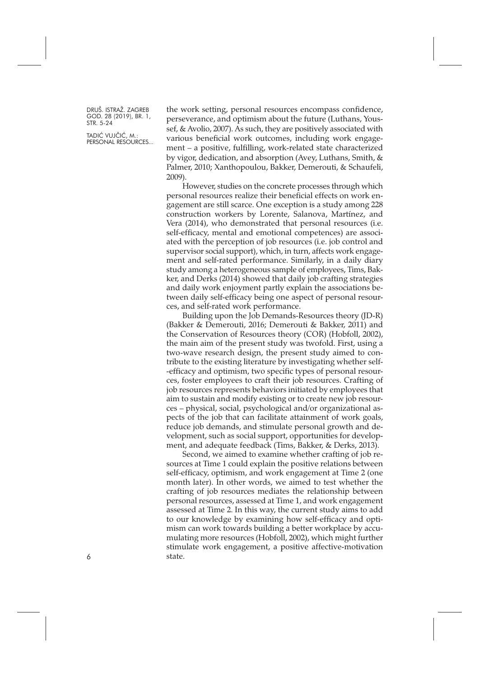TADIĆ VUJČIĆ, M.: PERSONAL RESOURCES... the work setting, personal resources encompass confidence, perseverance, and optimism about the future (Luthans, Youssef, & Avolio, 2007). As such, they are positively associated with various beneficial work outcomes, including work engagement – a positive, fulfilling, work-related state characterized by vigor, dedication, and absorption (Avey, Luthans, Smith, & Palmer, 2010; Xanthopoulou, Bakker, Demerouti, & Schaufeli, 2009).

However, studies on the concrete processes through which personal resources realize their beneficial effects on work engagement are still scarce. One exception is a study among 228 construction workers by Lorente, Salanova, Martínez, and Vera (2014), who demonstrated that personal resources (i.e. self-efficacy, mental and emotional competences) are associated with the perception of job resources (i.e. job control and supervisor social support), which, in turn, affects work engagement and self-rated performance. Similarly, in a daily diary study among a heterogeneous sample of employees, Tims, Bakker, and Derks (2014) showed that daily job crafting strategies and daily work enjoyment partly explain the associations between daily self-efficacy being one aspect of personal resources, and self-rated work performance.

Building upon the Job Demands-Resources theory (JD-R) (Bakker & Demerouti, 2016; Demerouti & Bakker, 2011) and the Conservation of Resources theory (COR) (Hobfoll, 2002), the main aim of the present study was twofold. First, using a two-wave research design, the present study aimed to contribute to the existing literature by investigating whether self- -efficacy and optimism, two specific types of personal resources, foster employees to craft their job resources. Crafting of job resources represents behaviors initiated by employees that aim to sustain and modify existing or to create new job resources – physical, social, psychological and/or organizational aspects of the job that can facilitate attainment of work goals, reduce job demands, and stimulate personal growth and development, such as social support, opportunities for development, and adequate feedback (Tims, Bakker, & Derks, 2013).

Second, we aimed to examine whether crafting of job resources at Time 1 could explain the positive relations between self-efficacy, optimism, and work engagement at Time 2 (one month later). In other words, we aimed to test whether the crafting of job resources mediates the relationship between personal resources, assessed at Time 1, and work engagement assessed at Time 2. In this way, the current study aims to add to our knowledge by examining how self-efficacy and optimism can work towards building a better workplace by accumulating more resources (Hobfoll, 2002), which might further stimulate work engagement, a positive affective-motivation state.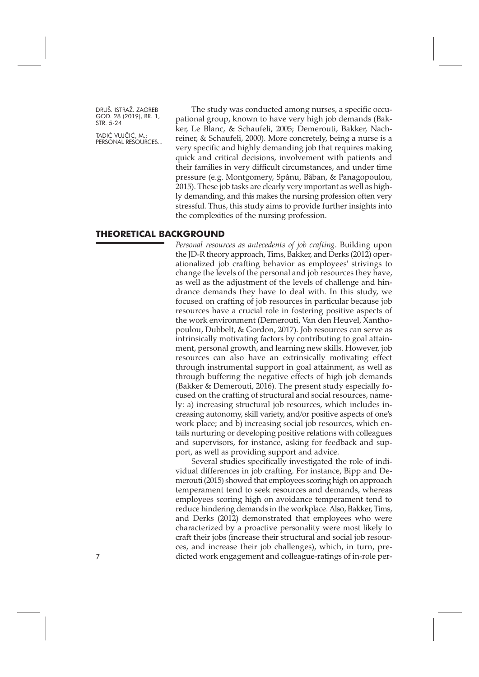TADIĆ VUJČIĆ, M.: PERSONAL RESOURCES...

The study was conducted among nurses, a specific occupational group, known to have very high job demands (Bakker, Le Blanc, & Schaufeli, 2005; Demerouti, Bakker, Nachreiner, & Schaufeli, 2000). More concretely, being a nurse is a very specific and highly demanding job that requires making quick and critical decisions, involvement with patients and their families in very difficult circumstances, and under time pressure (e.g. Montgomery, Spânu, Băban, & Panagopoulou, 2015). These job tasks are clearly very important as well as highly demanding, and this makes the nursing profession often very stressful. Thus, this study aims to provide further insights into the complexities of the nursing profession.

## **THEORETICAL BACKGROUND**

*Personal resources as antecedents of job crafting*. Building upon the JD-R theory approach, Tims, Bakker, and Derks (2012) operationalized job crafting behavior as employees' strivings to change the levels of the personal and job resources they have, as well as the adjustment of the levels of challenge and hindrance demands they have to deal with. In this study, we focused on crafting of job resources in particular because job resources have a crucial role in fostering positive aspects of the work environment (Demerouti, Van den Heuvel, Xanthopoulou, Dubbelt, & Gordon, 2017). Job resources can serve as intrinsically motivating factors by contributing to goal attainment, personal growth, and learning new skills. However, job resources can also have an extrinsically motivating effect through instrumental support in goal attainment, as well as through buffering the negative effects of high job demands (Bakker & Demerouti, 2016). The present study especially focused on the crafting of structural and social resources, namely: a) increasing structural job resources, which includes increasing autonomy, skill variety, and/or positive aspects of one's work place; and b) increasing social job resources, which entails nurturing or developing positive relations with colleagues and supervisors, for instance, asking for feedback and support, as well as providing support and advice.

Several studies specifically investigated the role of individual differences in job crafting. For instance, Bipp and Demerouti (2015) showed that employees scoring high on approach temperament tend to seek resources and demands, whereas employees scoring high on avoidance temperament tend to reduce hindering demands in the workplace. Also, Bakker, Tims, and Derks (2012) demonstrated that employees who were characterized by a proactive personality were most likely to craft their jobs (increase their structural and social job resources, and increase their job challenges), which, in turn, pre-7 dicted work engagement and colleague-ratings of in-role per-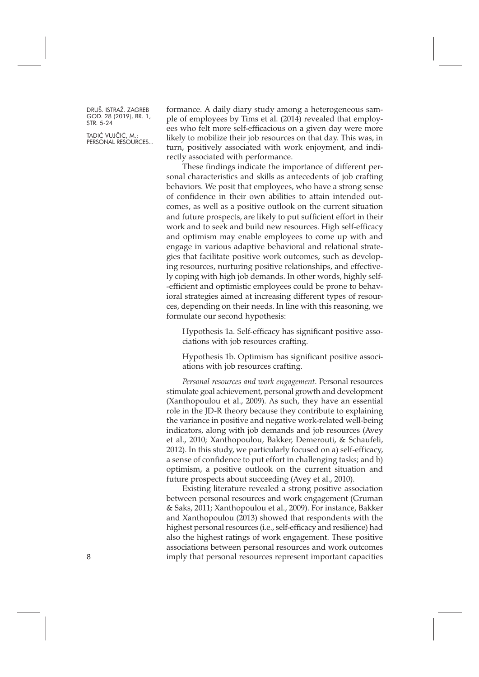TADIĆ VUJČIĆ, M.: PERSONAL RESOURCES... formance. A daily diary study among a heterogeneous sample of employees by Tims et al. (2014) revealed that employees who felt more self-efficacious on a given day were more likely to mobilize their job resources on that day. This was, in turn, positively associated with work enjoyment, and indirectly associated with performance.

These findings indicate the importance of different personal characteristics and skills as antecedents of job crafting behaviors. We posit that employees, who have a strong sense of confidence in their own abilities to attain intended outcomes, as well as a positive outlook on the current situation and future prospects, are likely to put sufficient effort in their work and to seek and build new resources. High self-efficacy and optimism may enable employees to come up with and engage in various adaptive behavioral and relational strategies that facilitate positive work outcomes, such as developing resources, nurturing positive relationships, and effectively coping with high job demands. In other words, highly self- -efficient and optimistic employees could be prone to behavioral strategies aimed at increasing different types of resources, depending on their needs. In line with this reasoning, we formulate our second hypothesis:

Hypothesis 1a. Self-efficacy has significant positive associations with job resources crafting.

Hypothesis 1b. Optimism has significant positive associations with job resources crafting.

*Personal resources and work engagement*. Personal resources stimulate goal achievement, personal growth and development (Xanthopoulou et al., 2009). As such, they have an essential role in the JD-R theory because they contribute to explaining the variance in positive and negative work-related well-being indicators, along with job demands and job resources (Avey et al., 2010; Xanthopoulou, Bakker, Demerouti, & Schaufeli, 2012). In this study, we particularly focused on a) self-efficacy, a sense of confidence to put effort in challenging tasks; and b) optimism, a positive outlook on the current situation and future prospects about succeeding (Avey et al., 2010).

Existing literature revealed a strong positive association between personal resources and work engagement (Gruman & Saks, 2011; Xanthopoulou et al., 2009). For instance, Bakker and Xanthopoulou (2013) showed that respondents with the highest personal resources (i.e., self-efficacy and resilience) had also the highest ratings of work engagement. These positive associations between personal resources and work outcomes imply that personal resources represent important capacities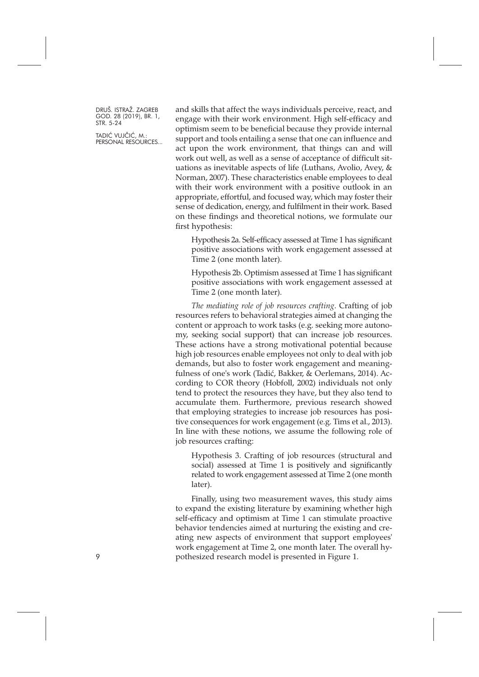TADIĆ VUJČIĆ, M.: PERSONAL RESOURCES... and skills that affect the ways individuals perceive, react, and engage with their work environment. High self-efficacy and optimism seem to be beneficial because they provide internal support and tools entailing a sense that one can influence and act upon the work environment, that things can and will work out well, as well as a sense of acceptance of difficult situations as inevitable aspects of life (Luthans, Avolio, Avey, & Norman, 2007). These characteristics enable employees to deal with their work environment with a positive outlook in an appropriate, effortful, and focused way, which may foster their sense of dedication, energy, and fulfilment in their work. Based on these findings and theoretical notions, we formulate our first hypothesis:

Hypothesis 2a. Self-efficacy assessed at Time 1 has significant positive associations with work engagement assessed at Time 2 (one month later).

Hypothesis 2b. Optimism assessed at Time 1 has significant positive associations with work engagement assessed at Time 2 (one month later).

*The mediating role of job resources crafting*. Crafting of job resources refers to behavioral strategies aimed at changing the content or approach to work tasks (e.g. seeking more autonomy, seeking social support) that can increase job resources. These actions have a strong motivational potential because high job resources enable employees not only to deal with job demands, but also to foster work engagement and meaningfulness of one's work (Tadić, Bakker, & Oerlemans, 2014). According to COR theory (Hobfoll, 2002) individuals not only tend to protect the resources they have, but they also tend to accumulate them. Furthermore, previous research showed that employing strategies to increase job resources has positive consequences for work engagement (e.g. Tims et al., 2013). In line with these notions, we assume the following role of job resources crafting:

Hypothesis 3. Crafting of job resources (structural and social) assessed at Time 1 is positively and significantly related to work engagement assessed at Time 2 (one month later).

Finally, using two measurement waves, this study aims to expand the existing literature by examining whether high self-efficacy and optimism at Time 1 can stimulate proactive behavior tendencies aimed at nurturing the existing and creating new aspects of environment that support employees' work engagement at Time 2, one month later. The overall hy-9 pothesized research model is presented in Figure 1.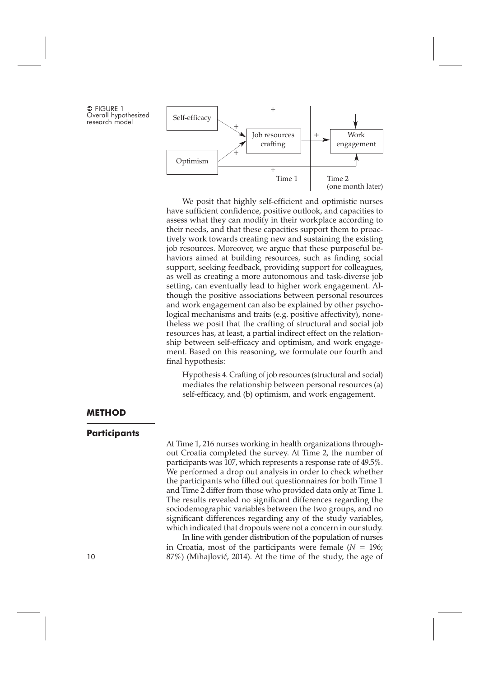

We posit that highly self-efficient and optimistic nurses have sufficient confidence, positive outlook, and capacities to assess what they can modify in their workplace according to their needs, and that these capacities support them to proactively work towards creating new and sustaining the existing job resources. Moreover, we argue that these purposeful behaviors aimed at building resources, such as finding social support, seeking feedback, providing support for colleagues, as well as creating a more autonomous and task-diverse job setting, can eventually lead to higher work engagement. Although the positive associations between personal resources and work engagement can also be explained by other psychological mechanisms and traits (e.g. positive affectivity), nonetheless we posit that the crafting of structural and social job resources has, at least, a partial indirect effect on the relationship between self-efficacy and optimism, and work engagement. Based on this reasoning, we formulate our fourth and final hypothesis:

Hypothesis 4. Crafting of job resources (structural and social) mediates the relationship between personal resources (a) self-efficacy, and (b) optimism, and work engagement.

### **METHOD**

 $\Rightarrow$  FIGURE 1

#### **Participants**

At Time 1, 216 nurses working in health organizations throughout Croatia completed the survey. At Time 2, the number of participants was 107, which represents a response rate of 49.5%. We performed a drop out analysis in order to check whether the participants who filled out questionnaires for both Time 1 and Time 2 differ from those who provided data only at Time 1. The results revealed no significant differences regarding the sociodemographic variables between the two groups, and no significant differences regarding any of the study variables, which indicated that dropouts were not a concern in our study.

In line with gender distribution of the population of nurses in Croatia, most of the participants were female (*N =* 196; 10 87%) (Mihajlović, 2014). At the time of the study, the age of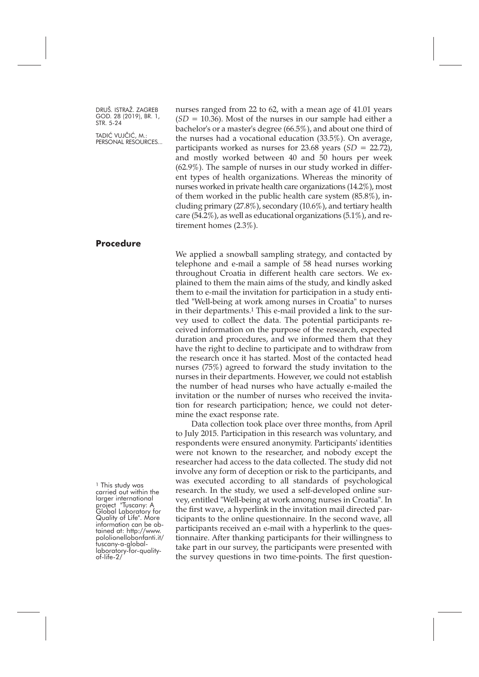TADIĆ VUJČIĆ, M.: PERSONAL RESOURCES... nurses ranged from 22 to 62, with a mean age of 41.01 years  $(SD = 10.36)$ . Most of the nurses in our sample had either a bachelor's or a master's degree (66.5%), and about one third of the nurses had a vocational education (33.5%). On average, participants worked as nurses for 23.68 years (*SD =* 22.72), and mostly worked between 40 and 50 hours per week (62.9%). The sample of nurses in our study worked in different types of health organizations. Whereas the minority of nurses worked in private health care organizations (14.2%), most of them worked in the public health care system (85.8%), including primary (27.8%), secondary (10.6%), and tertiary health care (54.2%), as well as educational organizations (5.1%), and retirement homes (2.3%).

#### **Procedure**

We applied a snowball sampling strategy, and contacted by telephone and e-mail a sample of 58 head nurses working throughout Croatia in different health care sectors. We explained to them the main aims of the study, and kindly asked them to e-mail the invitation for participation in a study entitled "Well-being at work among nurses in Croatia" to nurses in their departments.<sup>1</sup> This e-mail provided a link to the survey used to collect the data. The potential participants received information on the purpose of the research, expected duration and procedures, and we informed them that they have the right to decline to participate and to withdraw from the research once it has started. Most of the contacted head nurses (75%) agreed to forward the study invitation to the nurses in their departments. However, we could not establish the number of head nurses who have actually e-mailed the invitation or the number of nurses who received the invitation for research participation; hence, we could not determine the exact response rate.

Data collection took place over three months, from April to July 2015. Participation in this research was voluntary, and respondents were ensured anonymity. Participants' identities were not known to the researcher, and nobody except the researcher had access to the data collected. The study did not involve any form of deception or risk to the participants, and was executed according to all standards of psychological research. In the study, we used a self-developed online survey, entitled "Well-being at work among nurses in Croatia". In the first wave, a hyperlink in the invitation mail directed participants to the online questionnaire. In the second wave, all participants received an e-mail with a hyperlink to the questionnaire. After thanking participants for their willingness to take part in our survey, the participants were presented with the survey questions in two time-points. The first question-

<sup>1</sup> This study was carried out within the larger international project "Tuscany: A<br>Global Laboratory for Global Laboratory for Quality of Life". More information can be ob- tained at: [http://www.](http://www.pololionellobonfanti.it/tuscany-a-global-laboratory-for-quality-of-life-2/) [pololionellobonfanti.it/](http://www.pololionellobonfanti.it/tuscany-a-global-laboratory-for-quality-of-life-2/) [tuscany-a-global-](http://www.pololionellobonfanti.it/tuscany-a-global-laboratory-for-quality-of-life-2/)<br>[laboratory-for-quality-](http://www.pololionellobonfanti.it/tuscany-a-global-laboratory-for-quality-of-life-2/)<br>[of-life-2/](http://www.pololionellobonfanti.it/tuscany-a-global-laboratory-for-quality-of-life-2/)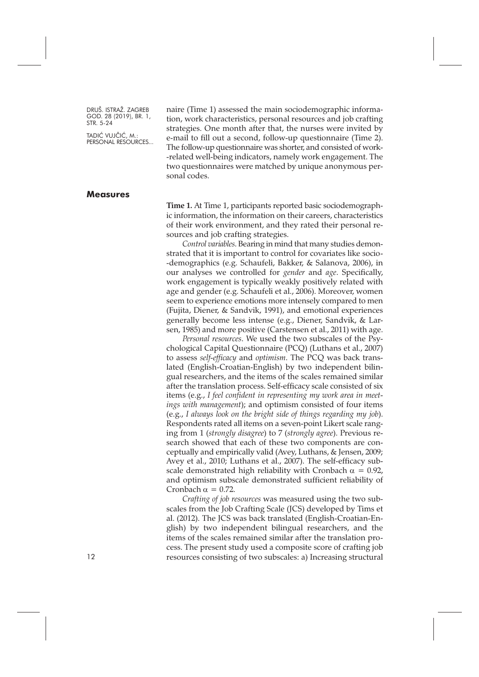TADIĆ VUJČIĆ, M.: PERSONAL RESOURCES... naire (Time 1) assessed the main sociodemographic information, work characteristics, personal resources and job crafting strategies. One month after that, the nurses were invited by e-mail to fill out a second, follow-up questionnaire (Time 2). The follow-up questionnaire was shorter, and consisted of work- -related well-being indicators, namely work engagement. The two questionnaires were matched by unique anonymous personal codes.

#### **Measures**

**Time 1.** At Time 1, participants reported basic sociodemographic information, the information on their careers, characteristics of their work environment, and they rated their personal resources and job crafting strategies.

*Control variables*. Bearing in mind that many studies demonstrated that it is important to control for covariates like socio- -demographics (e.g. Schaufeli, Bakker, & Salanova, 2006), in our analyses we controlled for *gender* and *age*. Specifically, work engagement is typically weakly positively related with age and gender (e.g. Schaufeli et al., 2006). Moreover, women seem to experience emotions more intensely compared to men (Fujita, Diener, & Sandvik, 1991), and emotional experiences generally become less intense (e.g., Diener, Sandvik, & Larsen, 1985) and more positive (Carstensen et al., 2011) with age.

*Personal resources*. We used the two subscales of the Psychological Capital Questionnaire (PCQ) (Luthans et al., 2007) to assess *self-efficacy* and *optimism*. The PCQ was back translated (English-Croatian-English) by two independent bilingual researchers, and the items of the scales remained similar after the translation process. Self-efficacy scale consisted of six items (e.g., *I feel confident in representing my work area in meetings with management*); and optimism consisted of four items (e.g., *I always look on the bright side of things regarding my job*). Respondents rated all items on a seven-point Likert scale ranging from 1 (*strongly disagree*) to 7 (*strongly agree*). Previous research showed that each of these two components are conceptually and empirically valid (Avey, Luthans, & Jensen, 2009; Avey et al., 2010; Luthans et al., 2007). The self-efficacy subscale demonstrated high reliability with Cronbach  $\alpha = 0.92$ , and optimism subscale demonstrated sufficient reliability of Cronbach  $\alpha = 0.72$ .

*Crafting of job resources* was measured using the two subscales from the Job Crafting Scale (JCS) developed by Tims et al. (2012). The JCS was back translated (English-Croatian-English) by two independent bilingual researchers, and the items of the scales remained similar after the translation process. The present study used a composite score of crafting job resources consisting of two subscales: a) Increasing structural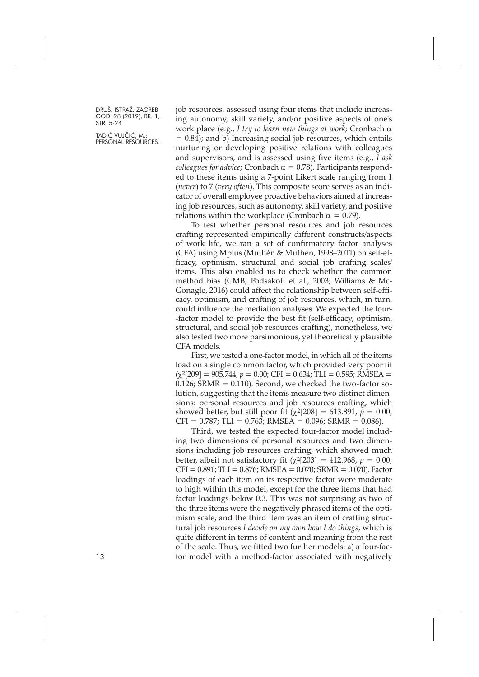TADIĆ VUJČIĆ, M.: PERSONAL RESOURCES... job resources, assessed using four items that include increasing autonomy, skill variety, and/or positive aspects of one's work place (e.g., *I try to learn new things at work*; Cronbach α = 0.84); and b) Increasing social job resources, which entails nurturing or developing positive relations with colleagues and supervisors, and is assessed using five items (e.g., *I ask colleagues for advice*; Cronbach  $\alpha = 0.78$ . Participants responded to these items using a 7-point Likert scale ranging from 1 (*never*) to 7 (*very often*). This composite score serves as an indicator of overall employee proactive behaviors aimed at increasing job resources, such as autonomy, skill variety, and positive relations within the workplace (Cronbach  $\alpha = 0.79$ ).

To test whether personal resources and job resources crafting represented empirically different constructs/aspects of work life, we ran a set of confirmatory factor analyses (CFA) using Mplus (Muthén & Muthén, 1998–2011) on self-efficacy, optimism, structural and social job crafting scales' items. This also enabled us to check whether the common method bias (CMB; Podsakoff et al., 2003; Williams & Mc-Gonagle, 2016) could affect the relationship between self-efficacy, optimism, and crafting of job resources, which, in turn, could influence the mediation analyses. We expected the four- -factor model to provide the best fit (self-efficacy, optimism, structural, and social job resources crafting), nonetheless, we also tested two more parsimonious, yet theoretically plausible CFA models.

First, we tested a one-factor model, in which all of the items load on a single common factor, which provided very poor fit  $(\chi^2[209] = 905.744, p = 0.00; CFI = 0.634; TLI = 0.595; RMSEA =$  $0.126$ ; SRMR =  $0.110$ ). Second, we checked the two-factor solution, suggesting that the items measure two distinct dimensions: personal resources and job resources crafting, which showed better, but still poor fit ( $χ²[208] = 613.891$ ,  $p = 0.00$ ;  $CFI = 0.787$ ; TLI = 0.763; RMSEA = 0.096; SRMR = 0.086).

Third, we tested the expected four-factor model including two dimensions of personal resources and two dimensions including job resources crafting, which showed much better, albeit not satisfactory fit ( $χ$ <sup>2</sup>[203] = 412.968,  $p = 0.00$ ; CFI = 0.891; TLI = 0.876; RMSEA = 0.070; SRMR = 0.070). Factor loadings of each item on its respective factor were moderate to high within this model, except for the three items that had factor loadings below 0.3. This was not surprising as two of the three items were the negatively phrased items of the optimism scale, and the third item was an item of crafting structural job resources *I decide on my own how I do things*, which is quite different in terms of content and meaning from the rest of the scale. Thus, we fitted two further models: a) a four-fac-13 tor model with a method-factor associated with negatively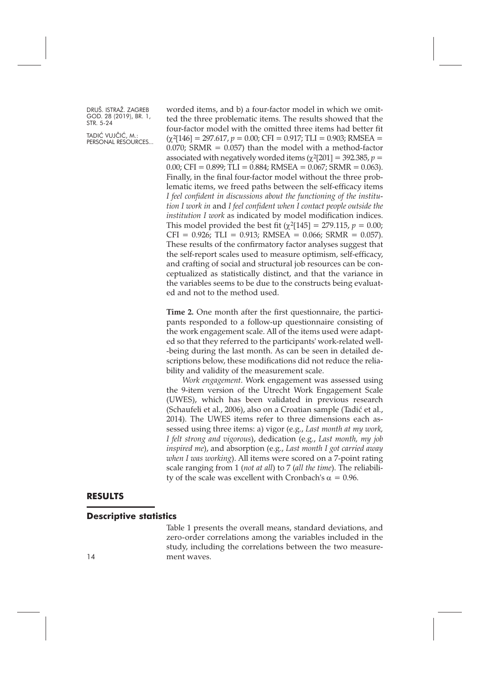TADIĆ VUJČIĆ, M.: PERSONAL RESOURCES... worded items, and b) a four-factor model in which we omitted the three problematic items. The results showed that the four-factor model with the omitted three items had better fit  $(\chi^2[146] = 297.617, p = 0.00; CFI = 0.917; TLI = 0.903; RMSEA =$ 0.070; SRMR  $=$  0.057) than the model with a method-factor associated with negatively worded items ( $\chi^2$ [201] = 392.385, *p* = 0.00; CFI =  $0.899$ ; TLI =  $0.884$ ; RMSEA =  $0.067$ ; SRMR =  $0.063$ ). Finally, in the final four-factor model without the three problematic items, we freed paths between the self-efficacy items *I feel confident in discussions about the functioning of the institution I work in* and *I feel confident when I contact people outside the institution I work* as indicated by model modification indices. This model provided the best fit ( $\chi^2$ [145] = 279.115,  $p = 0.00$ ;  $CFI = 0.926$ ; TLI = 0.913; RMSEA = 0.066; SRMR = 0.057). These results of the confirmatory factor analyses suggest that the self-report scales used to measure optimism, self-efficacy, and crafting of social and structural job resources can be conceptualized as statistically distinct, and that the variance in the variables seems to be due to the constructs being evaluated and not to the method used.

**Time 2.** One month after the first questionnaire, the participants responded to a follow-up questionnaire consisting of the work engagement scale. All of the items used were adapted so that they referred to the participants' work-related well- -being during the last month. As can be seen in detailed descriptions below, these modifications did not reduce the reliability and validity of the measurement scale.

*Work engagement*. Work engagement was assessed using the 9-item version of the Utrecht Work Engagement Scale (UWES), which has been validated in previous research (Schaufeli et al., 2006), also on a Croatian sample (Tadić et al., 2014). The UWES items refer to three dimensions each assessed using three items: a) vigor (e.g., *Last month at my work, I felt strong and vigorous*), dedication (e.g., *Last month, my job inspired me*), and absorption (e.g., *Last month I got carried away when I was working*). All items were scored on a 7-point rating scale ranging from 1 (*not at all*) to 7 (*all the time*). The reliability of the scale was excellent with Cronbach's  $\alpha = 0.96$ .

#### **RESULTS**

#### **Descriptive statistics**

Table 1 presents the overall means, standard deviations, and zero-order correlations among the variables included in the study, including the correlations between the two measurement waves.

14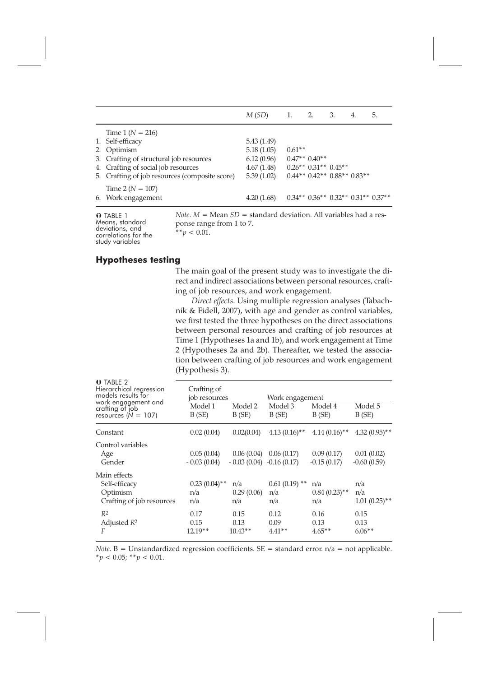|                                                | M(SD)      | 1.       | 2.                         | 3. | 4. | 5.                               |
|------------------------------------------------|------------|----------|----------------------------|----|----|----------------------------------|
| Time $1 (N = 216)$<br>1. Self-efficacy         | 5.43(1.49) |          |                            |    |    |                                  |
| 2. Optimism                                    | 5.18(1.05) | $0.61**$ |                            |    |    |                                  |
| 3. Crafting of structural job resources        | 6.12(0.96) |          | $0.47**0.40**$             |    |    |                                  |
| 4. Crafting of social job resources            | 4.67(1.48) |          | $0.26**0.31**0.45**$       |    |    |                                  |
| 5. Crafting of job resources (composite score) | 5.39(1.02) |          | $0.44**0.42**0.88**0.83**$ |    |    |                                  |
| Time $2 (N = 107)$                             |            |          |                            |    |    |                                  |
| 6. Work engagement                             | 4.20(1.68) |          |                            |    |    | $0.34**0.36**0.32**0.31**0.37**$ |

O TABLE 1

Means, standard<br>deviations, and correlations for the<br>study variables *Note*. *M* = Mean *SD =* standard deviation. All variables had a response range from 1 to 7.  $* p < 0.01$ .

## **Hypotheses testing**

The main goal of the present study was to investigate the direct and indirect associations between personal resources, crafting of job resources, and work engagement.

*Direct effects*. Using multiple regression analyses (Tabachnik & Fidell, 2007), with age and gender as control variables, we first tested the three hypotheses on the direct associations between personal resources and crafting of job resources at Time 1 (Hypotheses 1a and 1b), and work engagement at Time 2 (Hypotheses 2a and 2b). Thereafter, we tested the association between crafting of job resources and work engagement (Hypothesis 3).

| O TABLE 2<br>Hierarchical regression<br>models results for<br>work engagement and<br>crafting of job<br>resources $(N = 107)$ | Crafting of<br>job resources<br>Model 1<br>B(SE) | Model 2<br>B(SE)                        | Work engagement<br>Model 3<br>B(SE) | Model 4<br>B(SE)              | Model 5<br>B(SE)               |
|-------------------------------------------------------------------------------------------------------------------------------|--------------------------------------------------|-----------------------------------------|-------------------------------------|-------------------------------|--------------------------------|
| Constant                                                                                                                      | 0.02(0.04)                                       | 0.02(0.04)                              | $4.13(0.16)$ **                     | $4.14(0.16)$ **               | $4.32(0.95)$ **                |
| Control variables<br>Age<br>Gender                                                                                            | 0.05(0.04)<br>$-0.03(0.04)$                      | 0.06(0.04)<br>$-0.03(0.04) -0.16(0.17)$ | 0.06(0.17)                          | 0.09(0.17)<br>$-0.15(0.17)$   | 0.01(0.02)<br>$-0.60(0.59)$    |
| Main effects<br>Self-efficacy<br>Optimism<br>Crafting of job resources                                                        | $0.23(0.04)$ **<br>n/a<br>n/a                    | n/a<br>0.29(0.06)<br>n/a                | $0.61(0.19)$ **<br>n/a<br>n/a       | n/a<br>$0.84(0.23)$ **<br>n/a | n/a<br>n/a<br>$1.01~(0.25)$ ** |
| R <sup>2</sup><br>Adjusted $R^2$<br>F                                                                                         | 0.17<br>0.15<br>$12.19**$                        | 0.15<br>0.13<br>$10.43**$               | 0.12<br>0.09<br>$4.41**$            | 0.16<br>0.13<br>$4.65**$      | 0.15<br>0.13<br>$6.06**$       |

*Note*. B = Unstandardized regression coefficients. SE = standard error.  $n/a$  = not applicable. \**p* < 0.05; \*\**p* < 0.01.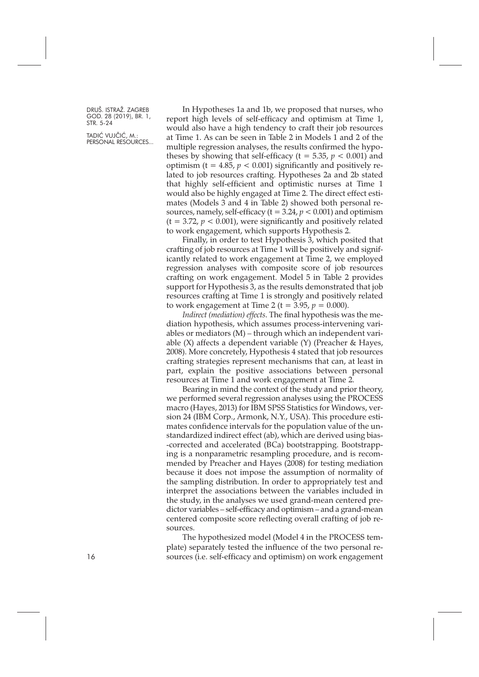TADIĆ VUJČIĆ, M.: PERSONAL RESOURCES...

In Hypotheses 1a and 1b, we proposed that nurses, who report high levels of self-efficacy and optimism at Time 1, would also have a high tendency to craft their job resources at Time 1. As can be seen in Table 2 in Models 1 and 2 of the multiple regression analyses, the results confirmed the hypotheses by showing that self-efficacy ( $t = 5.35$ ,  $p < 0.001$ ) and optimism ( $t = 4.85$ ,  $p < 0.001$ ) significantly and positively related to job resources crafting. Hypotheses 2a and 2b stated that highly self-efficient and optimistic nurses at Time 1 would also be highly engaged at Time 2. The direct effect estimates (Models 3 and 4 in Table 2) showed both personal resources, namely, self-efficacy ( $t = 3.24$ ,  $p < 0.001$ ) and optimism  $(t = 3.72, p < 0.001)$ , were significantly and positively related to work engagement, which supports Hypothesis 2.

Finally, in order to test Hypothesis 3, which posited that crafting of job resources at Time 1 will be positively and significantly related to work engagement at Time 2, we employed regression analyses with composite score of job resources crafting on work engagement. Model 5 in Table 2 provides support for Hypothesis 3, as the results demonstrated that job resources crafting at Time 1 is strongly and positively related to work engagement at Time 2 ( $t = 3.95$ ,  $p = 0.000$ ).

*Indirect (mediation) effects*. The final hypothesis was the mediation hypothesis, which assumes process-intervening variables or mediators (M) – through which an independent variable (X) affects a dependent variable (Y) (Preacher & Hayes, 2008). More concretely, Hypothesis 4 stated that job resources crafting strategies represent mechanisms that can, at least in part, explain the positive associations between personal resources at Time 1 and work engagement at Time 2.

Bearing in mind the context of the study and prior theory, we performed several regression analyses using the PROCESS macro (Hayes, 2013) for IBM SPSS Statistics for Windows, version 24 (IBM Corp., Armonk, N.Y., USA). This procedure estimates confidence intervals for the population value of the unstandardized indirect effect (ab), which are derived using bias- -corrected and accelerated (BCa) bootstrapping. Bootstrapping is a nonparametric resampling procedure, and is recommended by Preacher and Hayes (2008) for testing mediation because it does not impose the assumption of normality of the sampling distribution. In order to appropriately test and interpret the associations between the variables included in the study, in the analyses we used grand-mean centered predictor variables – self-efficacy and optimism – and a grand-mean centered composite score reflecting overall crafting of job resources.

The hypothesized model (Model 4 in the PROCESS template) separately tested the influence of the two personal resources (i.e. self-efficacy and optimism) on work engagement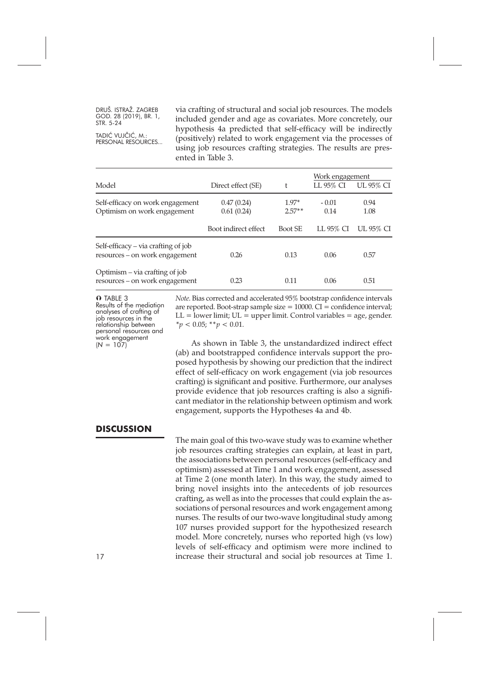TADIĆ VUJČIĆ, M.: PERSONAL RESOURCES... via crafting of structural and social job resources. The models included gender and age as covariates. More concretely, our hypothesis 4a predicted that self-efficacy will be indirectly (positively) related to work engagement via the processes of using job resources crafting strategies. The results are presented in Table 3.

| Model                                                                 | Direct effect (SE)       | t                   | Work engagement<br>LL 95% CI UL 95% CI |              |  |
|-----------------------------------------------------------------------|--------------------------|---------------------|----------------------------------------|--------------|--|
| Self-efficacy on work engagement<br>Optimism on work engagement       | 0.47(0.24)<br>0.61(0.24) | $1.97*$<br>$2.57**$ | $-0.01$<br>0.14                        | 0.94<br>1.08 |  |
|                                                                       | Boot indirect effect     | <b>Boot SE</b>      | LL 95% CI                              | UL 95% CI    |  |
| Self-efficacy – via crafting of job<br>resources - on work engagement | 0.26                     | 0.13                | 0.06                                   | 0.57         |  |
| Optimism – via crafting of job<br>resources - on work engagement      | 0.23                     | 0.11                | 0.06                                   | 0.51         |  |

**O** TABLE 3<br>Results of the mediation analyses of crafting of<br>job resources in the relationship between<br>personal resources and<br>work engagement  $(N = 107)$ 

*Note*. Bias corrected and accelerated 95% bootstrap confidence intervals are reported. Boot-strap sample size = 10000. CI = confidence interval;  $LL =$  lower limit;  $UL =$  upper limit. Control variables  $=$  age, gender. *\*p* < 0.05; \*\**p* < 0.01.

As shown in Table 3, the unstandardized indirect effect (ab) and bootstrapped confidence intervals support the proposed hypothesis by showing our prediction that the indirect effect of self-efficacy on work engagement (via job resources crafting) is significant and positive. Furthermore, our analyses provide evidence that job resources crafting is also a significant mediator in the relationship between optimism and work engagement, supports the Hypotheses 4a and 4b.

## **DISCUSSION**

The main goal of this two-wave study was to examine whether job resources crafting strategies can explain, at least in part, the associations between personal resources (self-efficacy and optimism) assessed at Time 1 and work engagement, assessed at Time 2 (one month later). In this way, the study aimed to bring novel insights into the antecedents of job resources crafting, as well as into the processes that could explain the associations of personal resources and work engagement among nurses. The results of our two-wave longitudinal study among 107 nurses provided support for the hypothesized research model. More concretely, nurses who reported high (vs low) levels of self-efficacy and optimism were more inclined to 17 increase their structural and social job resources at Time 1.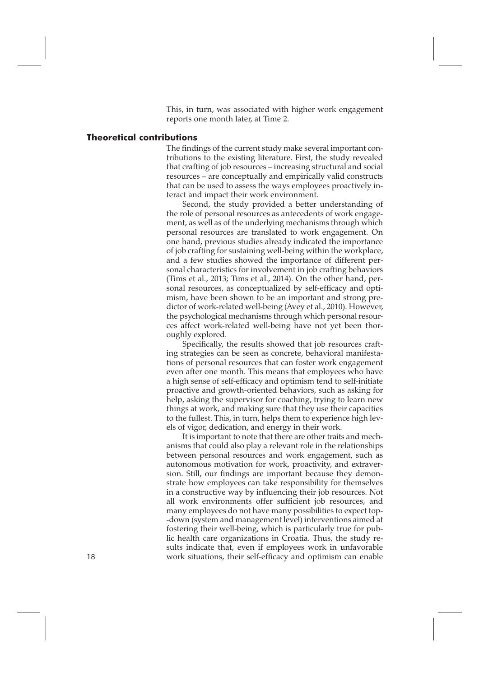This, in turn, was associated with higher work engagement reports one month later, at Time 2.

#### **Theoretical contributions**

The findings of the current study make several important contributions to the existing literature. First, the study revealed that crafting of job resources – increasing structural and social resources – are conceptually and empirically valid constructs that can be used to assess the ways employees proactively interact and impact their work environment.

Second, the study provided a better understanding of the role of personal resources as antecedents of work engagement, as well as of the underlying mechanisms through which personal resources are translated to work engagement. On one hand, previous studies already indicated the importance of job crafting for sustaining well-being within the workplace, and a few studies showed the importance of different personal characteristics for involvement in job crafting behaviors (Tims et al., 2013; Tims et al., 2014). On the other hand, personal resources, as conceptualized by self-efficacy and optimism, have been shown to be an important and strong predictor of work-related well-being (Avey et al., 2010). However, the psychological mechanisms through which personal resources affect work-related well-being have not yet been thoroughly explored.

Specifically, the results showed that job resources crafting strategies can be seen as concrete, behavioral manifestations of personal resources that can foster work engagement even after one month. This means that employees who have a high sense of self-efficacy and optimism tend to self-initiate proactive and growth-oriented behaviors, such as asking for help, asking the supervisor for coaching, trying to learn new things at work, and making sure that they use their capacities to the fullest. This, in turn, helps them to experience high levels of vigor, dedication, and energy in their work.

It is important to note that there are other traits and mechanisms that could also play a relevant role in the relationships between personal resources and work engagement, such as autonomous motivation for work, proactivity, and extraversion. Still, our findings are important because they demonstrate how employees can take responsibility for themselves in a constructive way by influencing their job resources. Not all work environments offer sufficient job resources, and many employees do not have many possibilities to expect top- -down (system and management level) interventions aimed at fostering their well-being, which is particularly true for public health care organizations in Croatia. Thus, the study results indicate that, even if employees work in unfavorable 18 work situations, their self-efficacy and optimism can enable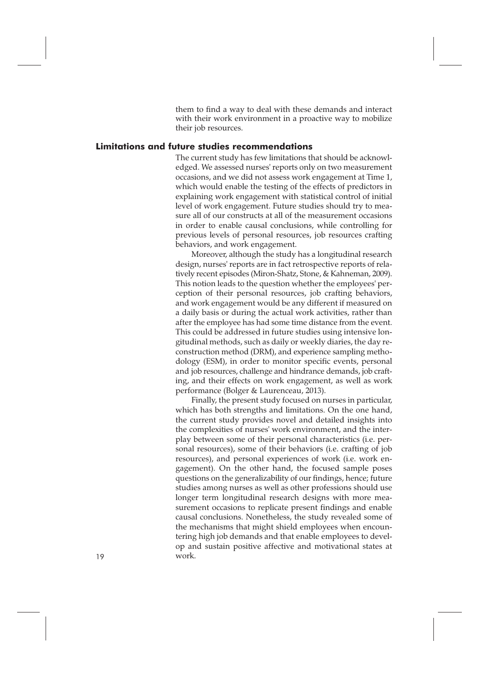them to find a way to deal with these demands and interact with their work environment in a proactive way to mobilize their job resources.

#### **Limitations and future studies recommendations**

The current study has few limitations that should be acknowledged. We assessed nurses' reports only on two measurement occasions, and we did not assess work engagement at Time 1, which would enable the testing of the effects of predictors in explaining work engagement with statistical control of initial level of work engagement. Future studies should try to measure all of our constructs at all of the measurement occasions in order to enable causal conclusions, while controlling for previous levels of personal resources, job resources crafting behaviors, and work engagement.

Moreover, although the study has a longitudinal research design, nurses' reports are in fact retrospective reports of relatively recent episodes (Miron-Shatz, Stone, & Kahneman, 2009). This notion leads to the question whether the employees' perception of their personal resources, job crafting behaviors, and work engagement would be any different if measured on a daily basis or during the actual work activities, rather than after the employee has had some time distance from the event. This could be addressed in future studies using intensive longitudinal methods, such as daily or weekly diaries, the day reconstruction method (DRM), and experience sampling methodology (ESM), in order to monitor specific events, personal and job resources, challenge and hindrance demands, job crafting, and their effects on work engagement, as well as work performance (Bolger & Laurenceau, 2013).

Finally, the present study focused on nurses in particular, which has both strengths and limitations. On the one hand, the current study provides novel and detailed insights into the complexities of nurses' work environment, and the interplay between some of their personal characteristics (i.e. personal resources), some of their behaviors (i.e. crafting of job resources), and personal experiences of work (i.e. work engagement). On the other hand, the focused sample poses questions on the generalizability of our findings, hence; future studies among nurses as well as other professions should use longer term longitudinal research designs with more measurement occasions to replicate present findings and enable causal conclusions. Nonetheless, the study revealed some of the mechanisms that might shield employees when encountering high job demands and that enable employees to develop and sustain positive affective and motivational states at 19 work.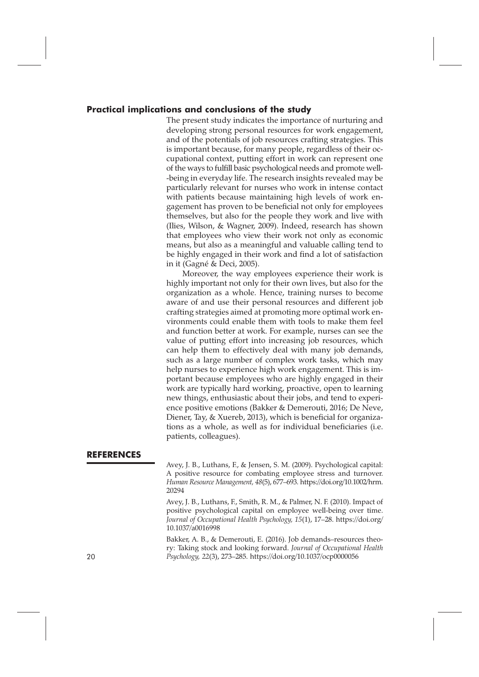## **Practical implications and conclusions of the study**

The present study indicates the importance of nurturing and developing strong personal resources for work engagement, and of the potentials of job resources crafting strategies. This is important because, for many people, regardless of their occupational context, putting effort in work can represent one of the ways to fulfill basic psychological needs and promote well- -being in everyday life. The research insights revealed may be particularly relevant for nurses who work in intense contact with patients because maintaining high levels of work engagement has proven to be beneficial not only for employees themselves, but also for the people they work and live with (Ilies, Wilson, & Wagner, 2009). Indeed, research has shown that employees who view their work not only as economic means, but also as a meaningful and valuable calling tend to be highly engaged in their work and find a lot of satisfaction in it (Gagné & Deci, 2005).

Moreover, the way employees experience their work is highly important not only for their own lives, but also for the organization as a whole. Hence, training nurses to become aware of and use their personal resources and different job crafting strategies aimed at promoting more optimal work environments could enable them with tools to make them feel and function better at work. For example, nurses can see the value of putting effort into increasing job resources, which can help them to effectively deal with many job demands, such as a large number of complex work tasks, which may help nurses to experience high work engagement. This is important because employees who are highly engaged in their work are typically hard working, proactive, open to learning new things, enthusiastic about their jobs, and tend to experience positive emotions (Bakker & Demerouti, 2016; De Neve, Diener, Tay, & Xuereb, 2013), which is beneficial for organizations as a whole, as well as for individual beneficiaries (i.e. patients, colleagues).

## **REFERENCES**

Avey, J. B., Luthans, F., & Jensen, S. M. (2009). Psychological capital: A positive resource for combating employee stress and turnover. *Human Resource Management, 48*(5), 677–693. [https://doi.org/10.1002/hrm.](https://doi.org/10.1002/hrm.20294) [20294](https://doi.org/10.1002/hrm.20294)

Avey, J. B., Luthans, F., Smith, R. M., & Palmer, N. F. (2010). Impact of positive psychological capital on employee well-being over time. *Journal of Occupational Health Psychology, 15*(1), 17–28. [https://doi.org/](https://doi.org/10.1037/a0016998) [10.1037/a0016998](https://doi.org/10.1037/a0016998)

Bakker, A. B., & Demerouti, E. (2016). Job demands–resources theory: Taking stock and looking forward. *Journal of Occupational Health* 20 *Psychology, 22*(3), 273–285. <https://doi.org/10.1037/ocp0000056>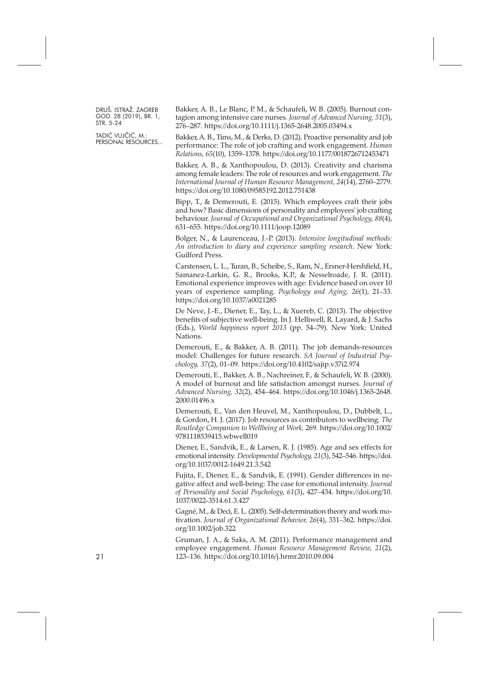TADIĆ VUJČIĆ, M.: PERSONAL RESOURCES... Bakker, A. B., Le Blanc, P. M., & Schaufeli, W. B. (2005). Burnout contagion among intensive care nurses. *Journal of Advanced Nursing, 51*(3), 276–287. <https://doi.org/10.1111/j.1365-2648.2005.03494.x>

Bakker, A. B., Tims, M., & Derks, D. (2012). Proactive personality and job performance: The role of job crafting and work engagement. *Human Relations, 65*(10), 1359–1378. <https://doi.org/10.1177/0018726712453471>

Bakker, A. B., & Xanthopoulou, D. (2013). Creativity and charisma among female leaders: The role ofresources and work engagement. *The International Journal of Human Resource Management, 24*(14), 2760–2779. <https://doi.org/10.1080/09585192.2012.751438>

Bipp, T., & Demerouti, E. (2015). Which employees craft their jobs and how? Basic dimensions of personality and employees' job crafting behaviour. *Journal of Occupational and Organizational Psychology, 88*(4), 631–655. <https://doi.org/10.1111/joop.12089>

Bolger, N., & Laurenceau, J.-P. (2013). *Intensive longitudinal methods: An introduction to diary and experience sampling research*. New York: Guilford Press.

Carstensen, L. L., Turan, B., Scheibe, S., Ram, N., Ersner-Hershfield, H., Samanez-Larkin, G. R., Brooks, K.P., & Nesselroade, J. R. (2011). Emotional experience improves with age: Evidence based on over 10 years of experience sampling. *Psychology and Aging, 26*(1), 21–33. <https://doi.org/10.1037/a0021285>

De Neve, J.-E., Diener, E., Tay, L., & Xuereb, C. (2013). The objective benefits of subjective well-being. In J. Helliwell, R. Layard, & J. Sachs (Eds.), *World happiness report 2013* (pp. 54–79). New York: United Nations.

Demerouti, E., & Bakker, A. B. (2011). The job demands-resources model: Challenges for future research. *SA Journal of Industrial Psychology, 37*(2), 01–09. <https://doi.org/10.4102/sajip.v37i2.974>

Demerouti, E., Bakker, A. B., Nachreiner, F., & Schaufeli, W. B. (2000). A model of burnout and life satisfaction amongst nurses. *Journal of Advanced Nursing, 32*(2), 454–464. [https://doi.org/10.1046/j.1365-2648.](https://doi.org/10.1046/j.1365-2648.2000.01496.x) [2000.01496.x](https://doi.org/10.1046/j.1365-2648.2000.01496.x)

Demerouti, E., Van den Heuvel, M., Xanthopoulou, D., Dubbelt, L., & Gordon, H. J. (2017). Job resources as contributors to wellbeing*. The Routledge Companion to Wellbeing at Work,* 269*.* [https://doi.org/10.1002/](https://doi.org/10.1002/9781118539415.wbwell019) [9781118539415.wbwell019](https://doi.org/10.1002/9781118539415.wbwell019)

Diener, E., Sandvik, E., & Larsen, R. J. (1985). Age and sex effects for emotional intensity. *Developmental Psychology, 21*(3), 542–546. [https://doi.](https://doi.org/10.1037/0012-1649.21.3.542) [org/10.1037/0012-1649.21.3.542](https://doi.org/10.1037/0012-1649.21.3.542)

Fujita, F., Diener, E., & Sandvik, E. (1991). Gender differences in negative affect and well-being: The case for emotional intensity. *Journal of Personality and Social Psychology, 61*(3), 427–434. [https://doi.org/10.](https://doi.org/10.1037/0022-3514.61.3.427) [1037/0022-3514.61.3.427](https://doi.org/10.1037/0022-3514.61.3.427)

Gagné, M., & Deci, E. L. (2005). Self-determination theory and work motivation. *Journal of Organizational Behavior, 26*(4), 331–362. [https://doi.](https://doi.org/10.1002/job.322) [org/10.1002/job.322](https://doi.org/10.1002/job.322)

Gruman, J. A., & Saks, A. M. (2011). Performance management and employee engagement. *Human Resource Management Review, 21*(2), 21 123–136. <https://doi.org/10.1016/j.hrmr.2010.09.004>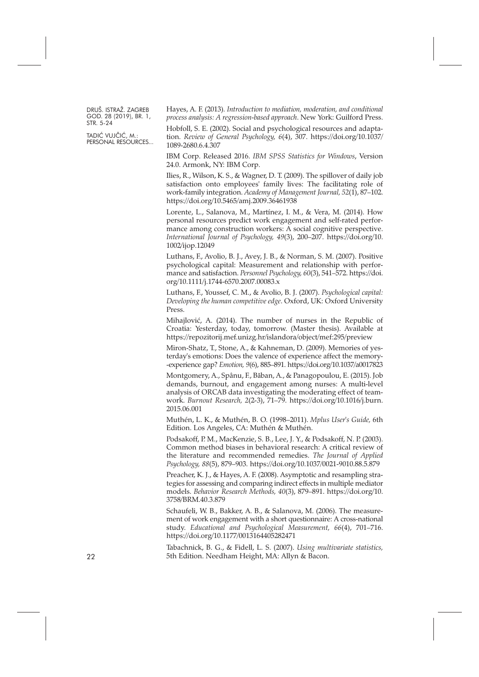TADIĆ VUJČIĆ, M.: PERSONAL RESOURCES... Hayes, A. F. (2013). *Introduction to mediation, moderation, and conditional process analysis: A regression-based approach*. New York: Guilford Press.

Hobfoll, S. E. (2002). Social and psychological resources and adaptation. *Review of General Psychology, 6*(4), 307. [https://doi.org/10.1037/](https://doi.org/10.1037/1089-2680.6.4.307) [1089-2680.6.4.307](https://doi.org/10.1037/1089-2680.6.4.307)

IBM Corp. Released 2016. *IBM SPSS Statistics for Windows*, Version 24.0. Armonk, NY: IBM Corp.

Ilies, R., Wilson, K. S., & Wagner, D. T. (2009). The spillover of daily job satisfaction onto employees' family lives: The facilitating role of work-family integration. *Academy of Management Journal, 52*(1), 87–102. <https://doi.org/10.5465/amj.2009.36461938>

Lorente, L., Salanova, M., Martínez, I. M., & Vera, M. (2014). How personal resources predict work engagement and self-rated performance among construction workers: A social cognitive perspective. *International Journal of Psychology, 49*(3), 200–207. [https://doi.org/10.](https://doi.org/10.1002/ijop.12049) [1002/ijop.12049](https://doi.org/10.1002/ijop.12049)

Luthans, F., Avolio, B. J., Avey, J. B., & Norman, S. M. (2007). Positive psychological capital: Measurement and relationship with performance and satisfaction. *Personnel Psychology, 60*(3), 541–572. [https://doi.](https://doi.org/10.1111/j.1744-6570.2007.00083.x) [org/10.1111/j.1744-6570.2007.00083.x](https://doi.org/10.1111/j.1744-6570.2007.00083.x)

Luthans, F., Youssef, C. M., & Avolio, B. J. (2007). *Psychological capital: Developing the human competitive edge*. Oxford, UK: Oxford University Press.

Mihajlović, A. (2014). The number of nurses in the Republic of Croatia: Yesterday, today, tomorrow. (Master thesis). Available at <https://repozitorij.mef.unizg.hr/islandora/object/mef:295/preview>

Miron-Shatz, T., Stone, A., & Kahneman, D. (2009). Memories of yesterday's emotions: Does the valence of experience affect the memory- -experience gap? *Emotion, 9*(6), 885–891. <https://doi.org/10.1037/a0017823>

Montgomery, A., Spânu, F., Băban, A., & Panagopoulou, E. (2015). Job demands, burnout, and engagement among nurses: A multi-level analysis of ORCAB data investigating the moderating effect of teamwork. *Burnout Research, 2*(2-3), 71–79. [https://doi.org/10.1016/j.burn.](https://doi.org/10.1016/j.burn.2015.06.001) [2015.06.001](https://doi.org/10.1016/j.burn.2015.06.001)

Muthén, L. K., & Muthén, B. O. (1998–2011). *Mplus User's Guide,* 6th Edition. Los Angeles, CA: Muthén & Muthén.

Podsakoff, P. M., MacKenzie, S. B., Lee, J. Y., & Podsakoff, N. P. (2003). Common method biases in behavioral research: A critical review of the literature and recommended remedies. *The Journal of Applied Psychology, 88*(5), 879–903. <https://doi.org/10.1037/0021-9010.88.5.879>

Preacher, K. J., & Hayes, A. F. (2008). Asymptotic and resampling strategies for assessing and comparing indirect effects in multiple mediator models. *Behavior Research Methods, 40*(3), 879–891. [https://doi.org/10.](https://doi.org/10.3758/BRM.40.3.879) [3758/BRM.40.3.879](https://doi.org/10.3758/BRM.40.3.879)

Schaufeli, W. B., Bakker, A. B., & Salanova, M. (2006). The measurement of work engagement with a short questionnaire: A cross-national study. *Educational and Psychological Measurement, 66*(4), 701–716. <https://doi.org/10.1177/0013164405282471>

Tabachnick, B. G., & Fidell, L. S. (2007). *Using multivariate statistics,* 5th Edition. Needham Height, MA: Allyn & Bacon.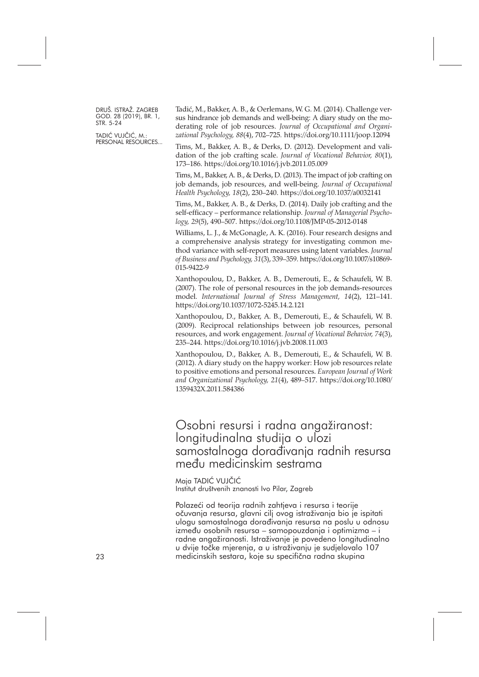TADIĆ VUJČIĆ, M.: PERSONAL RESOURCES... Tadić, M., Bakker, A. B., & Oerlemans, W. G. M. (2014). Challenge versus hindrance job demands and well-being: A diary study on the moderating role of job resources. *Journal of Occupational and Organizational Psychology, 88*(4), 702–725*.* <https://doi.org/10.1111/joop.12094>

Tims, M., Bakker, A. B., & Derks, D. (2012). Development and validation of the job crafting scale. *Journal of Vocational Behavior, 80*(1), 173–186. <https://doi.org/10.1016/j.jvb.2011.05.009>

Tims, M., Bakker, A. B., & Derks, D. (2013). The impact of job crafting on job demands, job resources, and well-being. *Journal of Occupational Health Psychology, 18*(2), 230–240. <https://doi.org/10.1037/a0032141>

Tims, M., Bakker, A. B., & Derks, D. (2014). Daily job crafting and the self-efficacy – performance relationship. *Journal of Managerial Psychology, 29*(5), 490–507. <https://doi.org/10.1108/JMP-05-2012-0148>

Williams, L. J., & McGonagle, A. K. (2016). Four research designs and a comprehensive analysis strategy for investigating common method variance with self-report measures using latent variables. *Journal of Business and Psychology, 31*(3), 339–359. [https://doi.org/10.1007/s10869-](https://doi.org/10.1007/s10869-015-9422-9) [015-9422-9](https://doi.org/10.1007/s10869-015-9422-9)

Xanthopoulou, D., Bakker, A. B., Demerouti, E., & Schaufeli, W. B. (2007). The role of personal resources in the job demands-resources model. *International Journal of Stress Management, 14*(2), 121–141. <https://doi.org/10.1037/1072-5245.14.2.121>

Xanthopoulou, D., Bakker, A. B., Demerouti, E., & Schaufeli, W. B. (2009). Reciprocal relationships between job resources, personal resources, and work engagement. *Journal of Vocational Behavior, 74*(3), 235–244. <https://doi.org/10.1016/j.jvb.2008.11.003>

Xanthopoulou, D., Bakker, A. B., Demerouti, E., & Schaufeli, W. B. (2012). A diary study on the happy worker: How job resources relate to positive emotions and personal resources. *European Journal of Work and Organizational Psychology, 21*(4), 489–517. [https://doi.org/10.1080/](https://doi.org/10.1080/1359432X.2011.584386) [1359432X.2011.584386](https://doi.org/10.1080/1359432X.2011.584386)

## Osobni resursi i radna angažiranost: longitudinalna studija o ulozi samostalnoga dorađivanja radnih resursa među medicinskim sestrama

Maja TADIĆ VUJČIĆ Institut društvenih znanosti Ivo Pilar, Zagreb

Polazeći od teorija radnih zahtjeva i resursa i teorije očuvanja resursa, glavni cilj ovog istraživanja bio je ispitati ulogu samostalnoga dorađivanja resursa na poslu u odnosu između osobnih resursa – samopouzdanja i optimizma – i radne angažiranosti. Istraživanje je povedeno longitudinalno u dvije točke mjerenja, a u istraživanju je sudjelovalo 107 23 medicinskih sestara, koje su specifična radna skupina